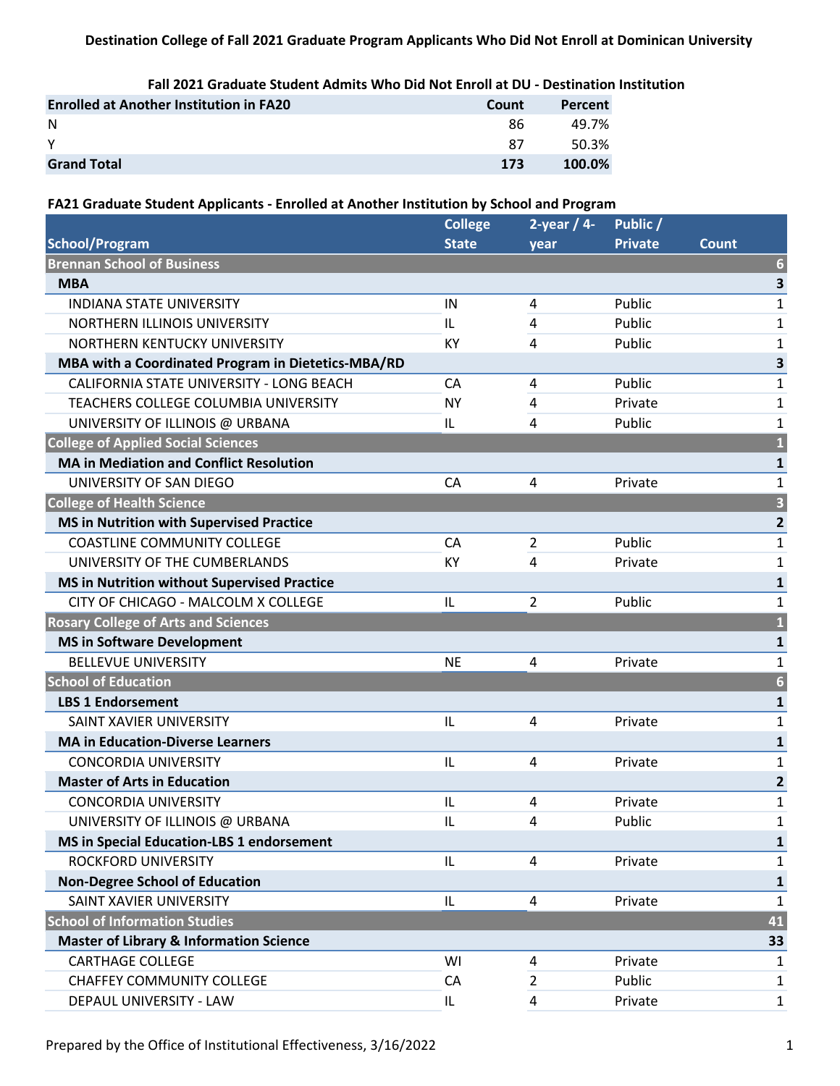## **Destination College of Fall 2021 Graduate Program Applicants Who Did Not Enroll at Dominican University**

**Fall 2021 Graduate Student Admits Who Did Not Enroll at DU - Destination Institution**

| <b>Enrolled at Another Institution in FA20</b> | Count | Percent |
|------------------------------------------------|-------|---------|
| -N                                             | 86    | 49.7%   |
| <b>V</b>                                       | 87    | 50.3%   |
| <b>Grand Total</b>                             | 173   | 100.0%  |

## **FA21 Graduate Student Applicants - Enrolled at Another Institution by School and Program**

| <b>College</b> | 2-year $/4$ -  | Public /       |                         |
|----------------|----------------|----------------|-------------------------|
| <b>State</b>   | year           | <b>Private</b> | Count                   |
|                |                |                | $6\phantom{1}6$         |
|                |                |                | 3                       |
| IN             | 4              | Public         | $\mathbf{1}$            |
| IL             | 4              | Public         | 1                       |
| KY             | 4              | Public         | 1                       |
|                |                |                | 3                       |
| CA             | 4              | Public         | $\mathbf{1}$            |
| <b>NY</b>      | 4              | Private        | $\mathbf{1}$            |
| IL             | 4              | Public         | 1                       |
|                |                |                | $\overline{\mathbf{1}}$ |
|                |                |                | $\mathbf{1}$            |
| CA             | 4              | Private        | $\mathbf{1}$            |
|                |                |                | 3                       |
|                |                |                | $\mathbf{2}$            |
| CA             | $\overline{2}$ | Public         | $\mathbf{1}$            |
| KY             | 4              | Private        | $\mathbf{1}$            |
|                |                |                | $\mathbf{1}$            |
| L              | $\overline{2}$ | Public         | 1                       |
|                |                |                | $\overline{\mathbf{1}}$ |
|                |                |                | $\mathbf{1}$            |
| <b>NE</b>      | 4              | Private        | $\mathbf{1}$            |
|                |                |                | $\overline{6}$          |
|                |                |                | $\mathbf{1}$            |
| IL             | 4              | Private        | $\mathbf{1}$            |
|                |                |                | $\mathbf{1}$            |
| IL             | 4              | Private        | $\mathbf{1}$            |
|                |                |                | $\mathbf{2}$            |
| IL             | 4              | Private        | $\mathbf{1}$            |
| IL             | 4              | Public         | $\mathbf{1}$            |
|                |                |                | 1                       |
| IL             | 4              | Private        | 1                       |
|                |                |                | 1                       |
| IL             | 4              | Private        | $\mathbf{1}$            |
|                |                |                | 41                      |
|                |                |                | 33                      |
| WI             | 4              | Private        | 1                       |
| CA             | $\overline{2}$ | Public         | 1                       |
| IL             | 4              | Private        | $\mathbf{1}$            |
|                |                |                |                         |

Prepared by the Office of Institutional Effectiveness, 3/16/2022 1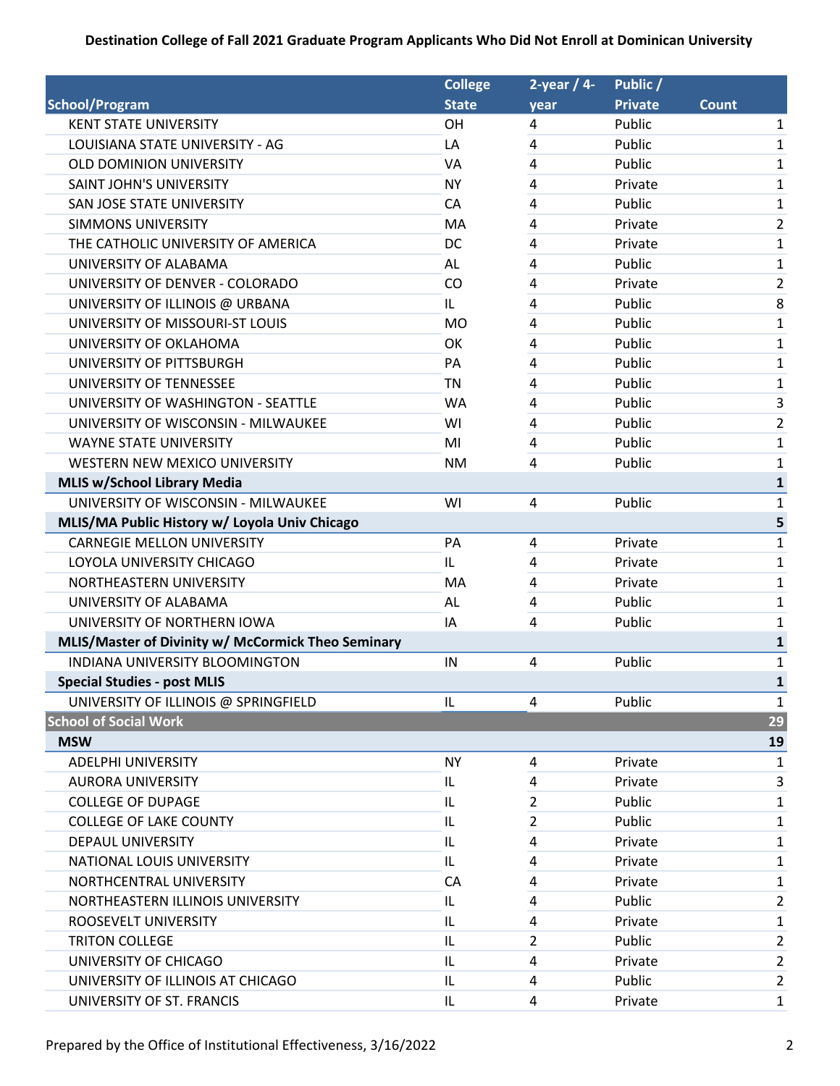## **Destination College of Fall 2021 Graduate Program Applicants Who Did Not Enroll at Dominican University**

|                                                    | <b>College</b> | 2-year $/4$ -  | Public /       |              |                |
|----------------------------------------------------|----------------|----------------|----------------|--------------|----------------|
| <b>School/Program</b>                              | <b>State</b>   | year           | <b>Private</b> | <b>Count</b> |                |
| <b>KENT STATE UNIVERSITY</b>                       | OH             | 4              | Public         |              | $\mathbf{1}$   |
| LOUISIANA STATE UNIVERSITY - AG                    | LA             | 4              | Public         |              | 1              |
| <b>OLD DOMINION UNIVERSITY</b>                     | VA             | $\overline{4}$ | Public         |              | 1              |
| <b>SAINT JOHN'S UNIVERSITY</b>                     | <b>NY</b>      | 4              | Private        |              | 1              |
| SAN JOSE STATE UNIVERSITY                          | CA             | $\overline{4}$ | Public         |              | 1              |
| <b>SIMMONS UNIVERSITY</b>                          | MA             | $\overline{4}$ | Private        |              | $\overline{2}$ |
| THE CATHOLIC UNIVERSITY OF AMERICA                 | DC             | 4              | Private        |              | 1              |
| UNIVERSITY OF ALABAMA                              | AL             | $\overline{4}$ | Public         |              | 1              |
| UNIVERSITY OF DENVER - COLORADO                    | CO             | 4              | Private        |              | 2              |
| UNIVERSITY OF ILLINOIS @ URBANA                    | IL.            | 4              | Public         |              | 8              |
| UNIVERSITY OF MISSOURI-ST LOUIS                    | <b>MO</b>      | 4              | Public         |              | 1              |
| UNIVERSITY OF OKLAHOMA                             | OK             | 4              | Public         |              | 1              |
| UNIVERSITY OF PITTSBURGH                           | PA             | 4              | Public         |              | 1              |
| UNIVERSITY OF TENNESSEE                            | <b>TN</b>      | 4              | Public         |              | $\mathbf{1}$   |
| UNIVERSITY OF WASHINGTON - SEATTLE                 | <b>WA</b>      | 4              | Public         |              | 3              |
| UNIVERSITY OF WISCONSIN - MILWAUKEE                | WI             | 4              | Public         |              | 2              |
| <b>WAYNE STATE UNIVERSITY</b>                      | MI             | $\overline{4}$ | Public         |              | 1              |
| WESTERN NEW MEXICO UNIVERSITY                      | <b>NM</b>      | $\overline{4}$ | Public         |              | 1              |
| <b>MLIS w/School Library Media</b>                 |                |                |                |              | 1              |
| UNIVERSITY OF WISCONSIN - MILWAUKEE                | WI             | 4              | Public         |              | $\mathbf{1}$   |
| MLIS/MA Public History w/ Loyola Univ Chicago      |                |                |                |              | 5              |
| <b>CARNEGIE MELLON UNIVERSITY</b>                  | PA             | $\overline{4}$ | Private        |              | 1              |
| LOYOLA UNIVERSITY CHICAGO                          | IL.            | 4              | Private        |              | $\mathbf{1}$   |
| NORTHEASTERN UNIVERSITY                            | MA             | $\overline{4}$ | Private        |              | $\mathbf{1}$   |
| UNIVERSITY OF ALABAMA                              | AL             | 4              | Public         |              | $\mathbf{1}$   |
| UNIVERSITY OF NORTHERN IOWA                        | IA             | 4              | Public         |              | 1              |
| MLIS/Master of Divinity w/ McCormick Theo Seminary |                |                |                |              | 1              |
| INDIANA UNIVERSITY BLOOMINGTON                     | IN             | 4              | Public         |              | $\mathbf{1}$   |
| <b>Special Studies - post MLIS</b>                 |                |                |                |              | 1              |
| UNIVERSITY OF ILLINOIS @ SPRINGFIELD               | IL             | 4              | Public         |              | 1              |
| <b>School of Social Work</b>                       |                |                |                |              | 29             |
| <b>MSW</b>                                         |                |                |                |              | 19             |
| <b>ADELPHI UNIVERSITY</b>                          | <b>NY</b>      | 4              | Private        |              | 1              |
| <b>AURORA UNIVERSITY</b>                           | IL.            | 4              | Private        |              | 3              |
| <b>COLLEGE OF DUPAGE</b>                           | IL             | 2              | Public         |              | 1              |
| <b>COLLEGE OF LAKE COUNTY</b>                      | IL             | 2              | Public         |              | 1              |
| <b>DEPAUL UNIVERSITY</b>                           | IL             | 4              | Private        |              | 1              |
| NATIONAL LOUIS UNIVERSITY                          | IL.            | 4              | Private        |              | 1              |
| NORTHCENTRAL UNIVERSITY                            | CA             | 4              | Private        |              | 1              |
| NORTHEASTERN ILLINOIS UNIVERSITY                   | IL             | 4              | Public         |              | $\overline{2}$ |
| ROOSEVELT UNIVERSITY                               | IL             | 4              | Private        |              | 1              |
| <b>TRITON COLLEGE</b>                              | IL             | 2              | Public         |              | $\overline{2}$ |
| UNIVERSITY OF CHICAGO                              | IL             | 4              | Private        |              | $\overline{2}$ |
| UNIVERSITY OF ILLINOIS AT CHICAGO                  | IL             | 4              | Public         |              | $\overline{2}$ |
| UNIVERSITY OF ST. FRANCIS                          | IL             | 4              | Private        |              | $\mathbf{1}$   |